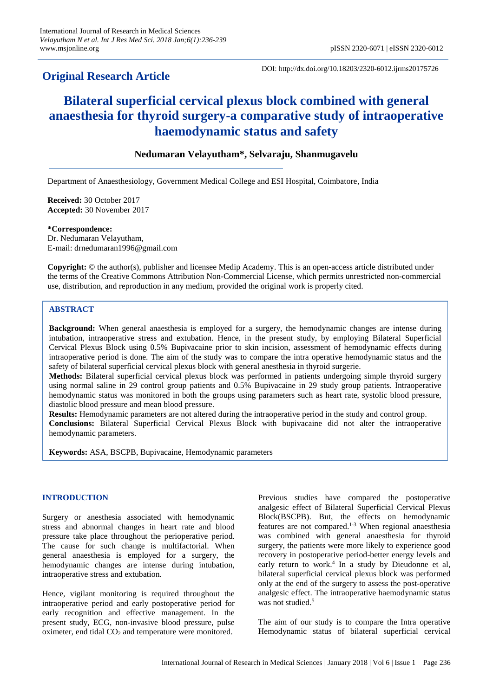## **Original Research Article**

DOI: http://dx.doi.org/10.18203/2320-6012.ijrms20175726

# **Bilateral superficial cervical plexus block combined with general anaesthesia for thyroid surgery-a comparative study of intraoperative haemodynamic status and safety**

## **Nedumaran Velayutham\*, Selvaraju, Shanmugavelu**

Department of Anaesthesiology, Government Medical College and ESI Hospital, Coimbatore, India

**Received:** 30 October 2017 **Accepted:** 30 November 2017

**\*Correspondence:** Dr. Nedumaran Velayutham, E-mail: drnedumaran1996@gmail.com

**Copyright:** © the author(s), publisher and licensee Medip Academy. This is an open-access article distributed under the terms of the Creative Commons Attribution Non-Commercial License, which permits unrestricted non-commercial use, distribution, and reproduction in any medium, provided the original work is properly cited.

## **ABSTRACT**

**Background:** When general anaesthesia is employed for a surgery, the hemodynamic changes are intense during intubation, intraoperative stress and extubation. Hence, in the present study, by employing Bilateral Superficial Cervical Plexus Block using 0.5% Bupivacaine prior to skin incision, assessment of hemodynamic effects during intraoperative period is done. The aim of the study was to compare the intra operative hemodynamic status and the safety of bilateral superficial cervical plexus block with general anesthesia in thyroid surgerie.

**Methods:** Bilateral superficial cervical plexus block was performed in patients undergoing simple thyroid surgery using normal saline in 29 control group patients and 0.5% Bupivacaine in 29 study group patients. Intraoperative hemodynamic status was monitored in both the groups using parameters such as heart rate, systolic blood pressure, diastolic blood pressure and mean blood pressure.

**Results:** Hemodynamic parameters are not altered during the intraoperative period in the study and control group. **Conclusions:** Bilateral Superficial Cervical Plexus Block with bupivacaine did not alter the intraoperative hemodynamic parameters.

**Keywords:** ASA, BSCPB, Bupivacaine, Hemodynamic parameters

## **INTRODUCTION**

Surgery or anesthesia associated with hemodynamic stress and abnormal changes in heart rate and blood pressure take place throughout the perioperative period. The cause for such change is multifactorial. When general anaesthesia is employed for a surgery, the hemodynamic changes are intense during intubation, intraoperative stress and extubation.

Hence, vigilant monitoring is required throughout the intraoperative period and early postoperative period for early recognition and effective management. In the present study, ECG, non-invasive blood pressure, pulse oximeter, end tidal CO<sub>2</sub> and temperature were monitored.

Previous studies have compared the postoperative analgesic effect of Bilateral Superficial Cervical Plexus Block(BSCPB). But, the effects on hemodynamic features are not compared.1-3 When regional anaesthesia was combined with general anaesthesia for thyroid surgery, the patients were more likely to experience good recovery in postoperative period-better energy levels and early return to work. 4 In a study by Dieudonne et al, bilateral superficial cervical plexus block was performed only at the end of the surgery to assess the post-operative analgesic effect. The intraoperative haemodynamic status was not studied. 5

The aim of our study is to compare the Intra operative Hemodynamic status of bilateral superficial cervical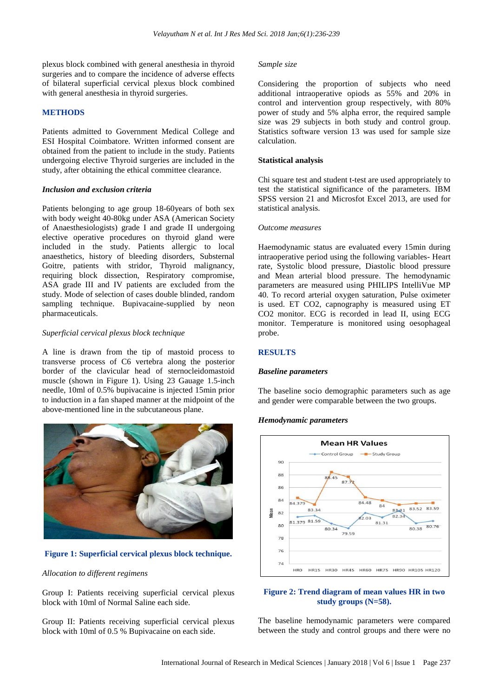plexus block combined with general anesthesia in thyroid surgeries and to compare the incidence of adverse effects of bilateral superficial cervical plexus block combined with general anesthesia in thyroid surgeries.

#### **METHODS**

Patients admitted to Government Medical College and ESI Hospital Coimbatore. Written informed consent are obtained from the patient to include in the study. Patients undergoing elective Thyroid surgeries are included in the study, after obtaining the ethical committee clearance.

#### *Inclusion and exclusion criteria*

Patients belonging to age group 18-60years of both sex with body weight 40-80kg under ASA (American Society of Anaesthesiologists) grade I and grade II undergoing elective operative procedures on thyroid gland were included in the study. Patients allergic to local anaesthetics, history of bleeding disorders, Substernal Goitre, patients with stridor, Thyroid malignancy, requiring block dissection, Respiratory compromise, ASA grade III and IV patients are excluded from the study. Mode of selection of cases double blinded, random sampling technique. Bupivacaine-supplied by neon pharmaceuticals.

#### *Superficial cervical plexus block technique*

A line is drawn from the tip of mastoid process to transverse process of C6 vertebra along the posterior border of the clavicular head of sternocleidomastoid muscle (shown in Figure 1). Using 23 Gauage 1.5-inch needle, 10ml of 0.5% bupivacaine is injected 15min prior to induction in a fan shaped manner at the midpoint of the above-mentioned line in the subcutaneous plane.



**Figure 1: Superficial cervical plexus block technique.**

#### *Allocation to different regimens*

Group I: Patients receiving superficial cervical plexus block with 10ml of Normal Saline each side.

Group II: Patients receiving superficial cervical plexus block with 10ml of 0.5 % Bupivacaine on each side.

#### *Sample size*

Considering the proportion of subjects who need additional intraoperative opiods as 55% and 20% in control and intervention group respectively, with 80% power of study and 5% alpha error, the required sample size was 29 subjects in both study and control group. Statistics software version 13 was used for sample size calculation.

#### **Statistical analysis**

Chi square test and student t-test are used appropriately to test the statistical significance of the parameters. IBM SPSS version 21 and Microsfot Excel 2013, are used for statistical analysis.

#### *Outcome measures*

Haemodynamic status are evaluated every 15min during intraoperative period using the following variables- Heart rate, Systolic blood pressure, Diastolic blood pressure and Mean arterial blood pressure. The hemodynamic parameters are measured using PHILIPS IntelliVue MP 40. To record arterial oxygen saturation, Pulse oximeter is used. ET CO2, capnography is measured using ET CO2 monitor. ECG is recorded in lead II, using ECG monitor. Temperature is monitored using oesophageal probe.

#### **RESULTS**

#### *Baseline parameters*

The baseline socio demographic parameters such as age and gender were comparable between the two groups.

#### *Hemodynamic parameters*



#### **Figure 2: Trend diagram of mean values HR in two study groups (N=58).**

The baseline hemodynamic parameters were compared between the study and control groups and there were no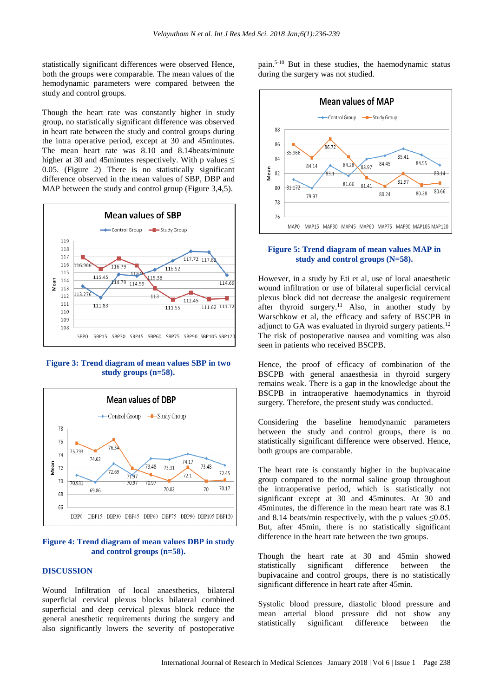statistically significant differences were observed Hence, both the groups were comparable. The mean values of the hemodynamic parameters were compared between the study and control groups.

Though the heart rate was constantly higher in study group, no statistically significant difference was observed in heart rate between the study and control groups during the intra operative period, except at 30 and 45minutes. The mean heart rate was 8.10 and 8.14beats/minute higher at 30 and 45minutes respectively. With p values  $\leq$ 0.05. (Figure 2) There is no statistically significant difference observed in the mean values of SBP, DBP and MAP between the study and control group (Figure 3,4,5).



**Figure 3: Trend diagram of mean values SBP in two study groups (n=58).**



#### **Figure 4: Trend diagram of mean values DBP in study and control groups (n=58).**

#### **DISCUSSION**

Wound Infiltration of local anaesthetics, bilateral superficial cervical plexus blocks bilateral combined superficial and deep cervical plexus block reduce the general anesthetic requirements during the surgery and also significantly lowers the severity of postoperative pain.5-10 But in these studies, the haemodynamic status during the surgery was not studied.



#### **Figure 5: Trend diagram of mean values MAP in study and control groups (N=58).**

However, in a study by Eti et al, use of local anaesthetic wound infiltration or use of bilateral superficial cervical plexus block did not decrease the analgesic requirement after thyroid surgery.<sup>11</sup> Also, in another study by Warschkow et al, the efficacy and safety of BSCPB in adjunct to GA was evaluated in thyroid surgery patients.<sup>12</sup> The risk of postoperative nausea and vomiting was also seen in patients who received BSCPB.

Hence, the proof of efficacy of combination of the BSCPB with general anaesthesia in thyroid surgery remains weak. There is a gap in the knowledge about the BSCPB in intraoperative haemodynamics in thyroid surgery. Therefore, the present study was conducted.

Considering the baseline hemodynamic parameters between the study and control groups, there is no statistically significant difference were observed. Hence, both groups are comparable.

The heart rate is constantly higher in the bupivacaine group compared to the normal saline group throughout the intraoperative period, which is statistically not significant except at 30 and 45minutes. At 30 and 45minutes, the difference in the mean heart rate was 8.1 and 8.14 beats/min respectively, with the p values  $\leq 0.05$ . But, after 45min, there is no statistically significant difference in the heart rate between the two groups.

Though the heart rate at 30 and 45min showed statistically significant difference between the bupivacaine and control groups, there is no statistically significant difference in heart rate after 45min.

Systolic blood pressure, diastolic blood pressure and mean arterial blood pressure did not show any statistically significant difference between the